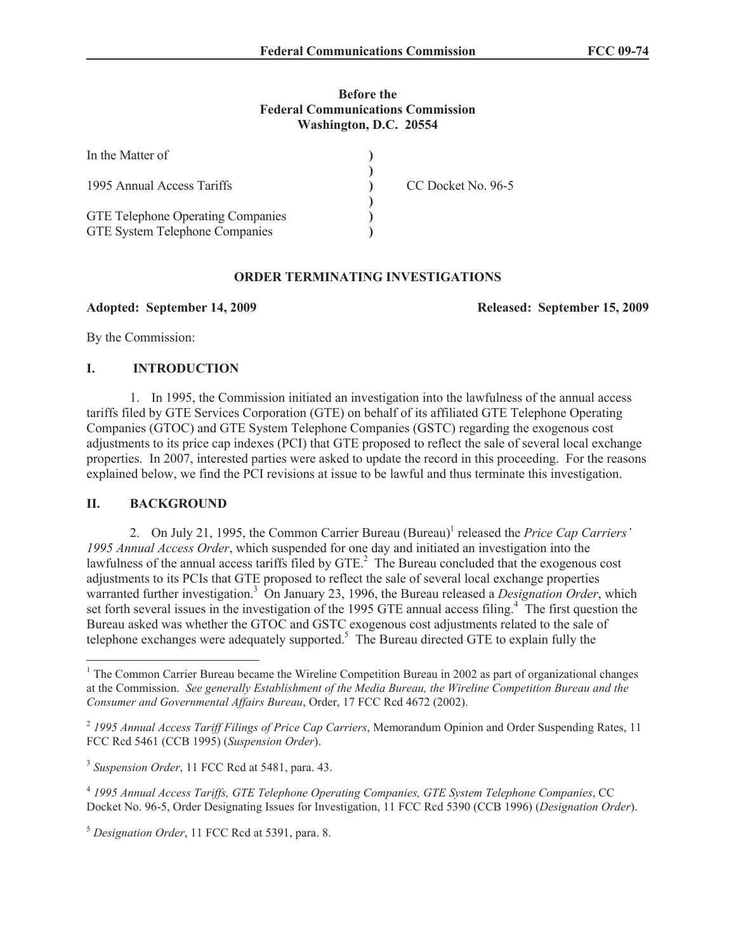#### **Before the Federal Communications Commission Washington, D.C. 20554**

| In the Matter of                                                                  |                    |
|-----------------------------------------------------------------------------------|--------------------|
| 1995 Annual Access Tariffs                                                        | CC Docket No. 96-5 |
| <b>GTE Telephone Operating Companies</b><br><b>GTE System Telephone Companies</b> |                    |

### **ORDER TERMINATING INVESTIGATIONS**

**Adopted: September 14, 2009 Released: September 15, 2009**

By the Commission:

# **I. INTRODUCTION**

1. In 1995, the Commission initiated an investigation into the lawfulness of the annual access tariffs filed by GTE Services Corporation (GTE) on behalf of its affiliated GTE Telephone Operating Companies (GTOC) and GTE System Telephone Companies (GSTC) regarding the exogenous cost adjustments to its price cap indexes (PCI) that GTE proposed to reflect the sale of several local exchange properties. In 2007, interested parties were asked to update the record in this proceeding. For the reasons explained below, we find the PCI revisions at issue to be lawful and thus terminate this investigation.

# **II. BACKGROUND**

2. On July 21, 1995, the Common Carrier Bureau (Bureau)<sup>1</sup> released the *Price Cap Carriers' 1995 Annual Access Order*, which suspended for one day and initiated an investigation into the lawfulness of the annual access tariffs filed by GTE.<sup>2</sup> The Bureau concluded that the exogenous cost adjustments to its PCIs that GTE proposed to reflect the sale of several local exchange properties warranted further investigation.<sup>3</sup> On January 23, 1996, the Bureau released a *Designation Order*, which set forth several issues in the investigation of the 1995 GTE annual access filing.<sup>4</sup> The first question the Bureau asked was whether the GTOC and GSTC exogenous cost adjustments related to the sale of telephone exchanges were adequately supported.<sup>5</sup> The Bureau directed GTE to explain fully the

<sup>&</sup>lt;sup>1</sup> The Common Carrier Bureau became the Wireline Competition Bureau in 2002 as part of organizational changes at the Commission. *See generally Establishment of the Media Bureau, the Wireline Competition Bureau and the Consumer and Governmental Affairs Bureau*, Order, 17 FCC Rcd 4672 (2002).

<sup>2</sup> *1995 Annual Access Tariff Filings of Price Cap Carriers*, Memorandum Opinion and Order Suspending Rates, 11 FCC Rcd 5461 (CCB 1995) (*Suspension Order*).

<sup>3</sup> *Suspension Order*, 11 FCC Rcd at 5481, para. 43.

<sup>4</sup> *1995 Annual Access Tariffs, GTE Telephone Operating Companies, GTE System Telephone Companies*, CC Docket No. 96-5, Order Designating Issues for Investigation, 11 FCC Rcd 5390 (CCB 1996) (*Designation Order*).

<sup>5</sup> *Designation Order*, 11 FCC Rcd at 5391, para. 8.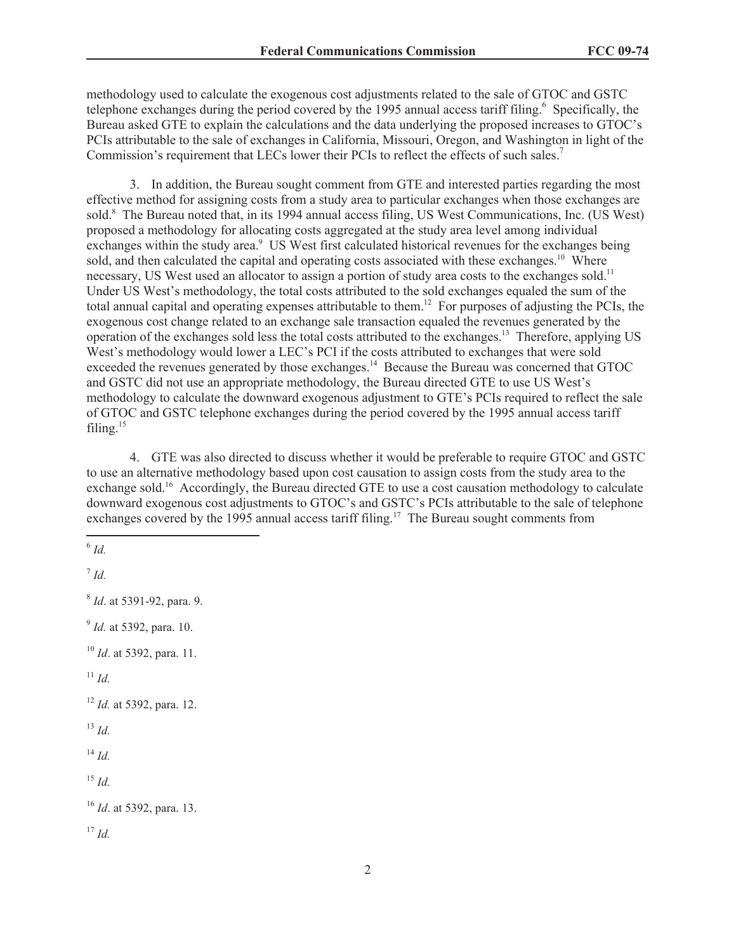methodology used to calculate the exogenous cost adjustments related to the sale of GTOC and GSTC telephone exchanges during the period covered by the 1995 annual access tariff filing.<sup>6</sup> Specifically, the Bureau asked GTE to explain the calculations and the data underlying the proposed increases to GTOC's PCIs attributable to the sale of exchanges in California, Missouri, Oregon, and Washington in light of the Commission's requirement that LECs lower their PCIs to reflect the effects of such sales.<sup>7</sup>

3. In addition, the Bureau sought comment from GTE and interested parties regarding the most effective method for assigning costs from a study area to particular exchanges when those exchanges are sold.<sup>8</sup> The Bureau noted that, in its 1994 annual access filing, US West Communications, Inc. (US West) proposed a methodology for allocating costs aggregated at the study area level among individual exchanges within the study area.<sup>9</sup> US West first calculated historical revenues for the exchanges being sold, and then calculated the capital and operating costs associated with these exchanges.<sup>10</sup> Where necessary, US West used an allocator to assign a portion of study area costs to the exchanges sold.<sup>11</sup> Under US West's methodology, the total costs attributed to the sold exchanges equaled the sum of the total annual capital and operating expenses attributable to them.<sup>12</sup> For purposes of adjusting the PCIs, the exogenous cost change related to an exchange sale transaction equaled the revenues generated by the operation of the exchanges sold less the total costs attributed to the exchanges.<sup>13</sup> Therefore, applying US West's methodology would lower a LEC's PCI if the costs attributed to exchanges that were sold exceeded the revenues generated by those exchanges.<sup>14</sup> Because the Bureau was concerned that GTOC and GSTC did not use an appropriate methodology, the Bureau directed GTE to use US West's methodology to calculate the downward exogenous adjustment to GTE's PCIs required to reflect the sale of GTOC and GSTC telephone exchanges during the period covered by the 1995 annual access tariff filing. $15$ 

4. GTE was also directed to discuss whether it would be preferable to require GTOC and GSTC to use an alternative methodology based upon cost causation to assign costs from the study area to the exchange sold.<sup>16</sup> Accordingly, the Bureau directed GTE to use a cost causation methodology to calculate downward exogenous cost adjustments to GTOC's and GSTC's PCIs attributable to the sale of telephone exchanges covered by the 1995 annual access tariff filing.<sup>17</sup> The Bureau sought comments from

6 *Id.*

7 *Id.* 8 *Id*. at 5391-92, para. 9. 9 *Id.* at 5392, para. 10. <sup>10</sup> *Id*. at 5392, para. 11.  $11$  *Id.* <sup>12</sup> *Id.* at 5392, para. 12. <sup>13</sup> *Id.* <sup>14</sup> *Id.* <sup>15</sup> *Id.* <sup>16</sup> *Id*. at 5392, para. 13.  $17 \, H$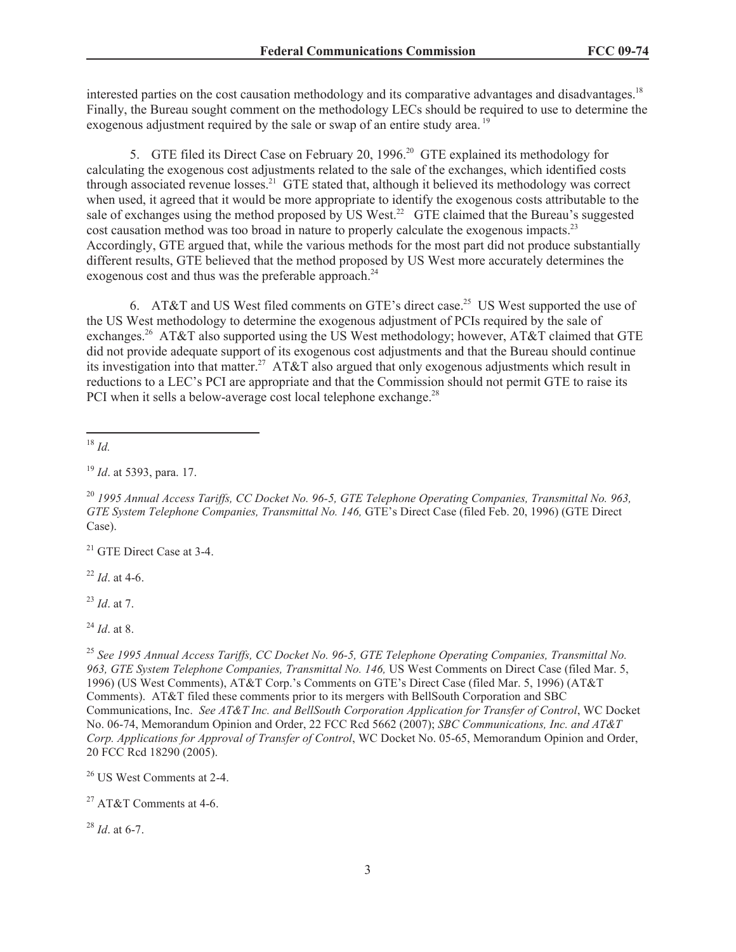interested parties on the cost causation methodology and its comparative advantages and disadvantages.<sup>18</sup> Finally, the Bureau sought comment on the methodology LECs should be required to use to determine the exogenous adjustment required by the sale or swap of an entire study area.<sup>19</sup>

5. GTE filed its Direct Case on February 20, 1996.<sup>20</sup> GTE explained its methodology for calculating the exogenous cost adjustments related to the sale of the exchanges, which identified costs through associated revenue losses.<sup>21</sup> GTE stated that, although it believed its methodology was correct when used, it agreed that it would be more appropriate to identify the exogenous costs attributable to the sale of exchanges using the method proposed by US West.<sup>22</sup> GTE claimed that the Bureau's suggested cost causation method was too broad in nature to properly calculate the exogenous impacts.<sup>23</sup> Accordingly, GTE argued that, while the various methods for the most part did not produce substantially different results, GTE believed that the method proposed by US West more accurately determines the exogenous cost and thus was the preferable approach.<sup>24</sup>

6. AT&T and US West filed comments on GTE's direct case.<sup>25</sup> US West supported the use of the US West methodology to determine the exogenous adjustment of PCIs required by the sale of exchanges.<sup>26</sup> AT&T also supported using the US West methodology; however, AT&T claimed that GTE did not provide adequate support of its exogenous cost adjustments and that the Bureau should continue its investigation into that matter.<sup>27</sup> AT&T also argued that only exogenous adjustments which result in reductions to a LEC's PCI are appropriate and that the Commission should not permit GTE to raise its PCI when it sells a below-average cost local telephone exchange.<sup>28</sup>

<sup>18</sup> *Id.*

<sup>21</sup> GTE Direct Case at 3-4.

<sup>22</sup> *Id*. at 4-6.

<sup>23</sup> *Id*. at 7.

<sup>25</sup> *See 1995 Annual Access Tariffs, CC Docket No. 96-5, GTE Telephone Operating Companies, Transmittal No. 963, GTE System Telephone Companies, Transmittal No. 146,* US West Comments on Direct Case (filed Mar. 5, 1996) (US West Comments), AT&T Corp.'s Comments on GTE's Direct Case (filed Mar. 5, 1996) (AT&T Comments). AT&T filed these comments prior to its mergers with BellSouth Corporation and SBC Communications, Inc. *See AT&T Inc. and BellSouth Corporation Application for Transfer of Control*, WC Docket No. 06-74, Memorandum Opinion and Order, 22 FCC Rcd 5662 (2007); *SBC Communications, Inc. and AT&T Corp. Applications for Approval of Transfer of Control*, WC Docket No. 05-65, Memorandum Opinion and Order, 20 FCC Rcd 18290 (2005).

<sup>26</sup> US West Comments at 2-4.

<sup>27</sup> AT&T Comments at 4-6.

<sup>28</sup> *Id*. at 6-7.

<sup>19</sup> *Id*. at 5393, para. 17.

<sup>20</sup> *1995 Annual Access Tariffs, CC Docket No. 96-5, GTE Telephone Operating Companies, Transmittal No. 963, GTE System Telephone Companies, Transmittal No. 146,* GTE's Direct Case (filed Feb. 20, 1996) (GTE Direct Case).

<sup>24</sup> *Id*. at 8.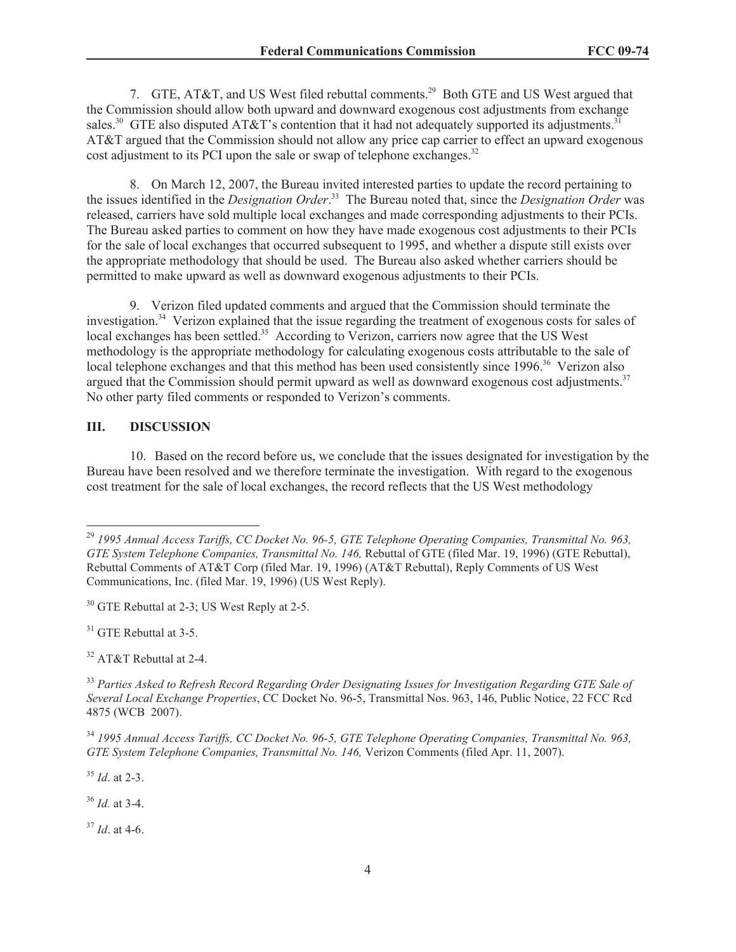7. GTE, AT&T, and US West filed rebuttal comments.<sup>29</sup> Both GTE and US West argued that the Commission should allow both upward and downward exogenous cost adjustments from exchange sales.<sup>30</sup> GTE also disputed AT&T's contention that it had not adequately supported its adjustments.<sup>31</sup> AT&T argued that the Commission should not allow any price cap carrier to effect an upward exogenous cost adjustment to its PCI upon the sale or swap of telephone exchanges.<sup>32</sup>

8. On March 12, 2007, the Bureau invited interested parties to update the record pertaining to the issues identified in the *Designation Order*. <sup>33</sup> The Bureau noted that, since the *Designation Order* was released, carriers have sold multiple local exchanges and made corresponding adjustments to their PCIs. The Bureau asked parties to comment on how they have made exogenous cost adjustments to their PCIs for the sale of local exchanges that occurred subsequent to 1995, and whether a dispute still exists over the appropriate methodology that should be used. The Bureau also asked whether carriers should be permitted to make upward as well as downward exogenous adjustments to their PCIs.

9. Verizon filed updated comments and argued that the Commission should terminate the investigation.<sup>34</sup> Verizon explained that the issue regarding the treatment of exogenous costs for sales of local exchanges has been settled.<sup>35</sup> According to Verizon, carriers now agree that the US West methodology is the appropriate methodology for calculating exogenous costs attributable to the sale of local telephone exchanges and that this method has been used consistently since 1996.<sup>36</sup> Verizon also argued that the Commission should permit upward as well as downward exogenous cost adjustments.<sup>37</sup> No other party filed comments or responded to Verizon's comments.

#### **III. DISCUSSION**

10. Based on the record before us, we conclude that the issues designated for investigation by the Bureau have been resolved and we therefore terminate the investigation. With regard to the exogenous cost treatment for the sale of local exchanges, the record reflects that the US West methodology

<sup>31</sup> GTE Rebuttal at 3-5.

<sup>32</sup> AT&T Rebuttal at 2-4.

<sup>35</sup> *Id*. at 2-3.

<sup>36</sup> *Id.* at 3-4.

<sup>37</sup> *Id*. at 4-6.

<sup>29</sup> *1995 Annual Access Tariffs, CC Docket No. 96-5, GTE Telephone Operating Companies, Transmittal No. 963, GTE System Telephone Companies, Transmittal No. 146,* Rebuttal of GTE (filed Mar. 19, 1996) (GTE Rebuttal), Rebuttal Comments of AT&T Corp (filed Mar. 19, 1996) (AT&T Rebuttal), Reply Comments of US West Communications, Inc. (filed Mar. 19, 1996) (US West Reply).

<sup>&</sup>lt;sup>30</sup> GTE Rebuttal at 2-3; US West Reply at 2-5.

<sup>33</sup> *Parties Asked to Refresh Record Regarding Order Designating Issues for Investigation Regarding GTE Sale of Several Local Exchange Properties*, CC Docket No. 96-5, Transmittal Nos. 963, 146, Public Notice, 22 FCC Rcd 4875 (WCB 2007).

<sup>34</sup> *1995 Annual Access Tariffs, CC Docket No. 96-5, GTE Telephone Operating Companies, Transmittal No. 963, GTE System Telephone Companies, Transmittal No. 146,* Verizon Comments (filed Apr. 11, 2007).